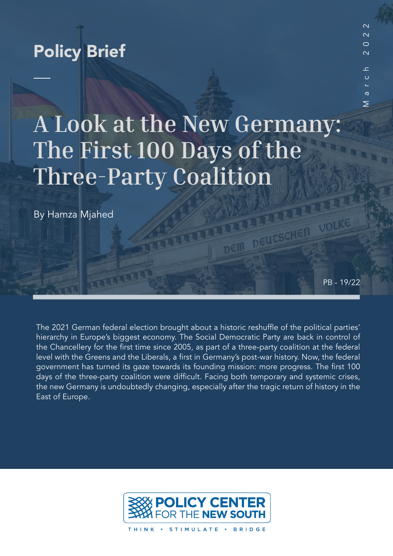## Policy Brief

# **A Look at the New Germany: The First 100 Days of the Three-Party Coalition**

By Hamza Mjahed

PB - 19/22

VOLKE

DEIN DEUCSCHEN

March 2022

 $\mathbf{C}$  $\circ$ 

 $\sigma$  $\geq$ 

 $\sim$  $\sim$  $\circ$  $\sim$ 

The 2021 German federal election brought about a historic reshuffle of the political parties' hierarchy in Europe's biggest economy. The Social Democratic Party are back in control of the Chancellery for the first time since 2005, as part of a three-party coalition at the federal level with the Greens and the Liberals, a first in Germany's post-war history. Now, the federal government has turned its gaze towards its founding mission: more progress. The first 100 days of the three-party coalition were difficult. Facing both temporary and systemic crises, the new Germany is undoubtedly changing, especially after the tragic return of history in the East of Europe.



THINK · STIMULATE · BRIDGE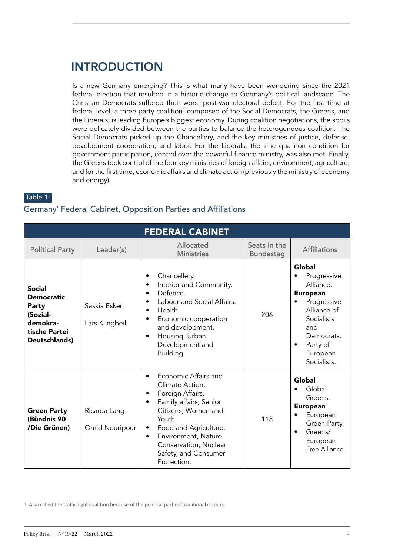## INTRODUCTION

Is a new Germany emerging? This is what many have been wondering since the 2021 federal election that resulted in a historic change to Germany's political landscape. The Christian Democrats suffered their worst post-war electoral defeat. For the first time at federal level, a three-party coalition $^{\scriptscriptstyle 1}$  composed of the Social Democrats, the Greens, and the Liberals, is leading Europe's biggest economy. During coalition negotiations, the spoils were delicately divided between the parties to balance the heterogeneous coalition. The Social Democrats picked up the Chancellery, and the key ministries of justice, defense, development cooperation, and labor. For the Liberals, the sine qua non condition for government participation, control over the powerful finance ministry, was also met. Finally, the Greens took control of the four key ministries of foreign affairs, environment, agriculture, and for the first time, economic affairs and climate action (previously the ministry of economy and energy).

Table 1:

#### Germany' Federal Cabinet, Opposition Parties and Affiliations

| <b>FEDERAL CABINET</b>                                                                                |                                |                                                                                                                                                                                                                                                                                                 |                           |                                                                                                                                                                                                       |  |  |
|-------------------------------------------------------------------------------------------------------|--------------------------------|-------------------------------------------------------------------------------------------------------------------------------------------------------------------------------------------------------------------------------------------------------------------------------------------------|---------------------------|-------------------------------------------------------------------------------------------------------------------------------------------------------------------------------------------------------|--|--|
| <b>Political Party</b>                                                                                | Leader(s)                      | Allocated<br><b>Ministries</b>                                                                                                                                                                                                                                                                  | Seats in the<br>Bundestag | <b>Affiliations</b>                                                                                                                                                                                   |  |  |
| <b>Social</b><br><b>Democratic</b><br>Party<br>(Sozial-<br>demokra-<br>tische Partei<br>Deutschlands) | Saskia Esken<br>Lars Klingbeil | Chancellery.<br>$\bullet$<br>Interior and Community.<br>$\bullet$<br>Defence.<br>$\bullet$<br>Labour and Social Affairs.<br>$\bullet$<br>Health.<br>$\bullet$<br>Economic cooperation<br>٠<br>and development.<br>Housing, Urban<br>$\bullet$<br>Development and<br>Building.                   | 206                       | <b>Global</b><br>Progressive<br>Alliance.<br><b>European</b><br>Progressive<br>$\bullet$<br>Alliance of<br><b>Socialists</b><br>and<br>Democrats.<br>Party of<br>$\bullet$<br>European<br>Socialists. |  |  |
| <b>Green Party</b><br>(Bündnis 90<br>/Die Grünen)                                                     | Ricarda Lang<br>Omid Nouripour | Economic Affairs and<br>$\bullet$<br>Climate Action.<br>Foreign Affairs.<br>$\bullet$<br>Family affairs, Senior<br>$\bullet$<br>Citizens, Women and<br>Youth.<br>Food and Agriculture.<br>٠<br>Environment, Nature<br>$\bullet$<br>Conservation, Nuclear<br>Safety, and Consumer<br>Protection. | 118                       | Global<br>Global<br>Greens.<br><b>European</b><br>European<br>Green Party.<br>Greens/<br>$\bullet$<br>European<br>Free Alliance.                                                                      |  |  |

<sup>1.</sup> Also called the traffic light coalition because of the political parties' traditional colours.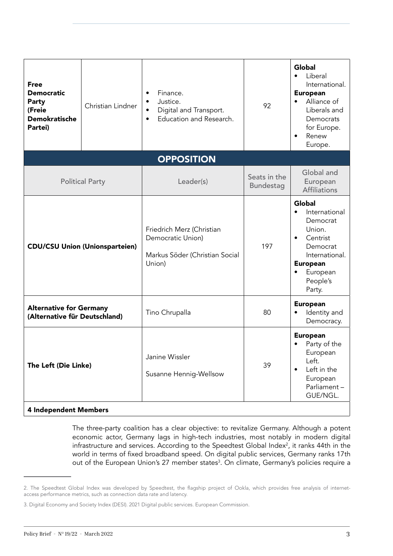| <b>Free</b><br><b>Democratic</b><br>Party<br>(Freie<br><b>Demokratische</b><br>Partei) | Christian Lindner | Finance.<br>Justice.<br>$\bullet$<br>Digital and Transport.<br>$\bullet$<br>Education and Research.<br>$\bullet$ | 92                               | <b>Global</b><br>Liberal<br>$\bullet$<br>International.<br><b>European</b><br>Alliance of<br>$\bullet$<br>Liberals and<br>Democrats<br>for Europe.<br>Renew<br>$\bullet$<br>Europe. |  |
|----------------------------------------------------------------------------------------|-------------------|------------------------------------------------------------------------------------------------------------------|----------------------------------|-------------------------------------------------------------------------------------------------------------------------------------------------------------------------------------|--|
|                                                                                        |                   | <b>OPPOSITION</b>                                                                                                |                                  |                                                                                                                                                                                     |  |
| <b>Political Party</b>                                                                 |                   | Leader(s)                                                                                                        | Seats in the<br><b>Bundestag</b> | Global and<br>European<br><b>Affiliations</b>                                                                                                                                       |  |
| <b>CDU/CSU Union (Unionsparteien)</b>                                                  |                   | Friedrich Merz (Christian<br>Democratic Union)<br>Markus Söder (Christian Social<br>Union)                       | 197                              | <b>Global</b><br>International<br>$\bullet$<br>Democrat<br>Union.<br>Centrist<br>$\bullet$<br>Democrat<br>International.<br><b>European</b><br>European<br>People's<br>Party.       |  |
| <b>Alternative for Germany</b><br>(Alternative für Deutschland)                        |                   | Tino Chrupalla                                                                                                   | 80                               | <b>European</b><br>Identity and<br>$\bullet$<br>Democracy.                                                                                                                          |  |
| The Left (Die Linke)                                                                   |                   | Janine Wissler<br>Susanne Hennig-Wellsow                                                                         | 39                               | <b>European</b><br>Party of the<br>European<br>Left.<br>Left in the<br>$\bullet$<br>European<br>Parliament-<br>GUE/NGL.                                                             |  |
| <b>4 Independent Members</b>                                                           |                   |                                                                                                                  |                                  |                                                                                                                                                                                     |  |

The three-party coalition has a clear objective: to revitalize Germany. Although a potent economic actor, Germany lags in high-tech industries, most notably in modern digital infrastructure and services. According to the Speedtest Global Index<sup>2</sup>, it ranks 44th in the world in terms of fixed broadband speed. On digital public services, Germany ranks 17th out of the European Union's 27 member states<sup>3</sup>. On climate, Germany's policies require a

<sup>2.</sup> The Speedtest Global Index was developed by Speedtest, the flagship project of Ookla, which provides free analysis of internetaccess performance metrics, such as connection data rate and latency.

<sup>3.</sup> Digital Economy and Society Index (DESI). 2021 Digital public services. European Commission.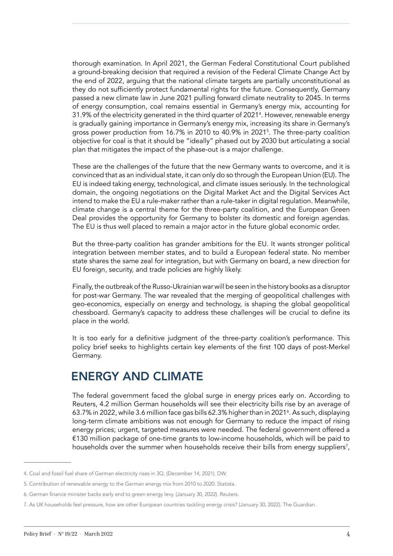thorough examination. In April 2021, the German Federal Constitutional Court published a ground-breaking decision that required a revision of the Federal Climate Change Act by the end of 2022, arguing that the national climate targets are partially unconstitutional as they do not sufficiently protect fundamental rights for the future. Consequently, Germany passed a new climate law in June 2021 pulling forward climate neutrality to 2045. In terms of energy consumption, coal remains essential in Germany's energy mix, accounting for 31.9% of the electricity generated in the third quarter of 20214 . However, renewable energy is gradually gaining importance in Germany's energy mix, increasing its share in Germany's gross power production from 16.7% in 2010 to 40.9% in 20215 . The three-party coalition objective for coal is that it should be "ideally" phased out by 2030 but articulating a social plan that mitigates the impact of the phase-out is a major challenge.

These are the challenges of the future that the new Germany wants to overcome, and it is convinced that as an individual state, it can only do so through the European Union (EU). The EU is indeed taking energy, technological, and climate issues seriously. In the technological domain, the ongoing negotiations on the Digital Market Act and the Digital Services Act intend to make the EU a rule-maker rather than a rule-taker in digital regulation. Meanwhile, climate change is a central theme for the three-party coalition, and the European Green Deal provides the opportunity for Germany to bolster its domestic and foreign agendas. The EU is thus well placed to remain a major actor in the future global economic order.

But the three-party coalition has grander ambitions for the EU. It wants stronger political integration between member states, and to build a European federal state. No member state shares the same zeal for integration, but with Germany on board, a new direction for EU foreign, security, and trade policies are highly likely.

Finally, the outbreak of the Russo-Ukrainian war will be seen in the history books as a disruptor for post-war Germany. The war revealed that the merging of geopolitical challenges with geo-economics, especially on energy and technology, is shaping the global geopolitical chessboard. Germany's capacity to address these challenges will be crucial to define its place in the world.

It is too early for a definitive judgment of the three-party coalition's performance. This policy brief seeks to highlights certain key elements of the first 100 days of post-Merkel Germany.

## ENERGY AND CLIMATE

The federal government faced the global surge in energy prices early on. According to Reuters, 4.2 million German households will see their electricity bills rise by an average of 63.7% in 2022, while 3.6 million face gas bills 62.3% higher than in 2021<sup>6</sup> . As such, displaying long-term climate ambitions was not enough for Germany to reduce the impact of rising energy prices; urgent, targeted measures were needed. The federal government offered a €130 million package of one-time grants to low-income households, which will be paid to households over the summer when households receive their bills from energy suppliers<sup>7</sup>,

<sup>4.</sup> Coal and fossil fuel share of German electricity rises in 3Q. (December 14, 2021). DW.

<sup>5.</sup> Contribution of renewable energy to the German energy mix from 2010 to 2020. Statista.

<sup>6.</sup> German finance minister backs early end to green energy levy. (January 30, 2022). Reuters.

<sup>7.</sup> As UK households feel pressure, how are other European countries tackling energy crisis? (January 30, 2022). The Guardian.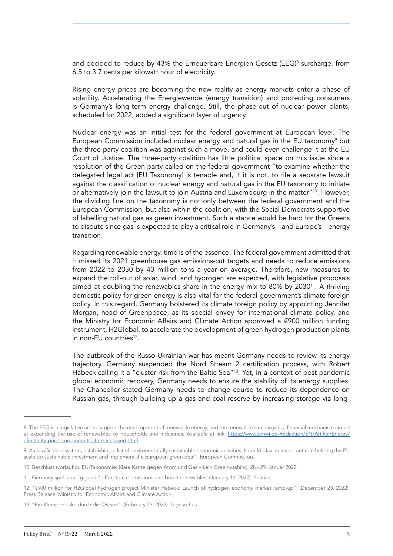and decided to reduce by 43% the Erneuerbare-Energien-Gesetz (EEG)<sup>8</sup> surcharge, from 6.5 to 3.7 cents per kilowatt hour of electricity.

Rising energy prices are becoming the new reality as energy markets enter a phase of volatility. Accelerating the Energiewende (energy transition) and protecting consumers is Germany's long-term energy challenge. Still, the phase-out of nuclear power plants, scheduled for 2022, added a significant layer of urgency.

Nuclear energy was an initial test for the federal government at European level. The European Commission included nuclear energy and natural gas in the EU taxonomy<sup>9</sup> but the three-party coalition was against such a move, and could even challenge it at the EU Court of Justice. The three-party coalition has little political space on this issue since a resolution of the Green party called on the federal government "to examine whether the delegated legal act [EU Taxonomy] is tenable and, if it is not, to file a separate lawsuit against the classification of nuclear energy and natural gas in the EU taxonomy to initiate or alternatively join the lawsuit to join Austria and Luxembourg in the matter"<sup>10</sup>. However, the dividing line on the taxonomy is not only between the federal government and the European Commission, but also within the coalition, with the Social Democrats supportive of labelling natural gas as green investment. Such a stance would be hard for the Greens to dispute since gas is expected to play a critical role in Germany's—and Europe's—energy transition.

Regarding renewable energy, time is of the essence. The federal government admitted that it missed its 2021 greenhouse gas emissions-cut targets and needs to reduce emissions from 2022 to 2030 by 40 million tons a year on average. Therefore, new measures to expand the roll-out of solar, wind, and hydrogen are expected, with legislative proposals aimed at doubling the renewables share in the energy mix to 80% by 2030<sup>11</sup>. A thriving domestic policy for green energy is also vital for the federal government's climate foreign policy. In this regard, Germany bolstered its climate foreign policy by appointing Jennifer Morgan, head of Greenpeace, as its special envoy for international climate policy, and the Ministry for Economic Affairs and Climate Action approved a €900 million funding instrument, H2Global, to accelerate the development of green hydrogen production plants in non-EU countries<sup>12</sup>

The outbreak of the Russo-Ukrainian war has meant Germany needs to review its energy trajectory. Germany suspended the Nord Stream 2 certification process, with Robert Habeck calling it a "cluster risk from the Baltic Sea"<sup>13</sup>. Yet, in a context of post-pandemic global economic recovery, Germany needs to ensure the stability of its energy supplies. The Chancellor stated Germany needs to change course to reduce its dependence on Russian gas, through building up a gas and coal reserve by increasing storage via long-

<sup>8.</sup> The EEG is a legislative act to support the development of renewable energy, and the renewable surcharge is a financial mechanism aimed at expanding the use of renewables by households and industries. Available at link: [https://www.bmwi.de/Redaktion/EN/Artikel/Energy/](https://www.bmwi.de/Redaktion/EN/Artikel/Energy/electircity-price-components-state-imposed.html) [electircity-price-components-state-imposed.html](https://www.bmwi.de/Redaktion/EN/Artikel/Energy/electircity-price-components-state-imposed.html)

<sup>9.</sup> A classification system, establishing a list of environmentally sustainable economic activities. It could play an important role helping the EU scale up sustainable investment and implement the European green deal". European Commission.

<sup>10.</sup> Beschluss (vorläufig). EU-Taxonomie: Klare Kante gegen Atom und Gas – kein Greenwashing. 28.- 29. Januar 2022.

<sup>11.</sup> Germany spells out 'gigantic' effort to cut emissions and boost renewables. (January 11, 2022). Politico.

<sup>12. &</sup>quot;€900 million for H2Global hydrogen project Minister Habeck: Launch of hydrogen economy market ramp-up". (December 23, 2022). Press Release. Ministry for Economic Affairs and Climate Action.

<sup>13. &</sup>quot;Ein Klumpenrisiko durch die Ostsee". (February 23, 2022). Tagesschau.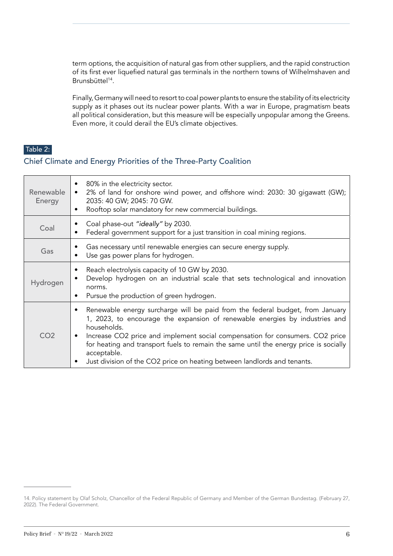term options, the acquisition of natural gas from other suppliers, and the rapid construction of its first ever liquefied natural gas terminals in the northern towns of Wilhelmshaven and Brunsbüttel<sup>14</sup>.

Finally, Germany will need to resort to coal power plants to ensure the stability of its electricity supply as it phases out its nuclear power plants. With a war in Europe, pragmatism beats all political consideration, but this measure will be especially unpopular among the Greens. Even more, it could derail the EU's climate objectives.

#### Table 2:

#### Chief Climate and Energy Priorities of the Three-Party Coalition

| Renewable<br>Energy | 80% in the electricity sector.<br>2% of land for onshore wind power, and offshore wind: 2030: 30 gigawatt (GW);<br>$\bullet$<br>2035: 40 GW; 2045: 70 GW.<br>Rooftop solar mandatory for new commercial buildings.<br>$\bullet$                                                                                                                                                                                                                       |
|---------------------|-------------------------------------------------------------------------------------------------------------------------------------------------------------------------------------------------------------------------------------------------------------------------------------------------------------------------------------------------------------------------------------------------------------------------------------------------------|
| Coal                | Coal phase-out "ideally" by 2030.<br>Federal government support for a just transition in coal mining regions.                                                                                                                                                                                                                                                                                                                                         |
| Gas                 | Gas necessary until renewable energies can secure energy supply.<br>Use gas power plans for hydrogen.                                                                                                                                                                                                                                                                                                                                                 |
| Hydrogen            | Reach electrolysis capacity of 10 GW by 2030.<br>Develop hydrogen on an industrial scale that sets technological and innovation<br>norms.<br>Pursue the production of green hydrogen.<br>٠                                                                                                                                                                                                                                                            |
| CO <sub>2</sub>     | Renewable energy surcharge will be paid from the federal budget, from January<br>1, 2023, to encourage the expansion of renewable energies by industries and<br>households.<br>Increase CO2 price and implement social compensation for consumers. CO2 price<br>٠<br>for heating and transport fuels to remain the same until the energy price is socially<br>acceptable.<br>Just division of the CO2 price on heating between landlords and tenants. |

<sup>14.</sup> Policy statement by Olaf Scholz, Chancellor of the Federal Republic of Germany and Member of the German Bundestag. (February 27, 2022). The Federal Government.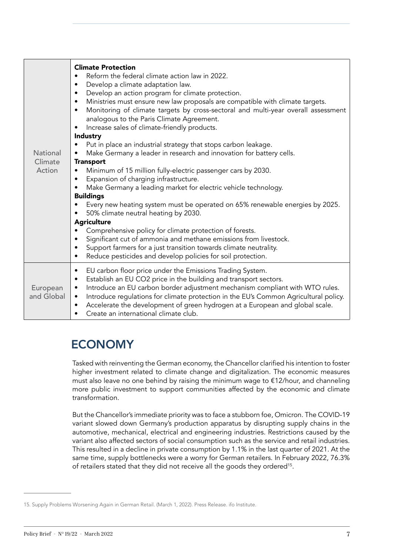|                                      | <b>Climate Protection</b><br>Reform the federal climate action law in 2022.<br>Develop a climate adaptation law.<br>$\bullet$<br>Develop an action program for climate protection.<br>٠<br>Ministries must ensure new law proposals are compatible with climate targets.<br>$\bullet$<br>Monitoring of climate targets by cross-sectoral and multi-year overall assessment<br>$\bullet$<br>analogous to the Paris Climate Agreement.<br>Increase sales of climate-friendly products.<br>Industry<br>Put in place an industrial strategy that stops carbon leakage.                                                                                                                   |
|--------------------------------------|--------------------------------------------------------------------------------------------------------------------------------------------------------------------------------------------------------------------------------------------------------------------------------------------------------------------------------------------------------------------------------------------------------------------------------------------------------------------------------------------------------------------------------------------------------------------------------------------------------------------------------------------------------------------------------------|
| <b>National</b><br>Climate<br>Action | Make Germany a leader in research and innovation for battery cells.<br><b>Transport</b><br>Minimum of 15 million fully-electric passenger cars by 2030.<br>$\bullet$<br>Expansion of charging infrastructure.<br>$\bullet$<br>Make Germany a leading market for electric vehicle technology.<br><b>Buildings</b><br>Every new heating system must be operated on 65% renewable energies by 2025.<br>50% climate neutral heating by 2030.<br><b>Agriculture</b><br>Comprehensive policy for climate protection of forests.<br>Significant cut of ammonia and methane emissions from livestock.<br>$\bullet$<br>Support farmers for a just transition towards climate neutrality.<br>٠ |
| European<br>and Global               | Reduce pesticides and develop policies for soil protection.<br>$\bullet$<br>EU carbon floor price under the Emissions Trading System.<br>$\bullet$<br>Establish an EU CO2 price in the building and transport sectors.<br>$\bullet$<br>Introduce an EU carbon border adjustment mechanism compliant with WTO rules.<br>$\bullet$<br>Introduce regulations for climate protection in the EU's Common Agricultural policy.<br>$\bullet$<br>Accelerate the development of green hydrogen at a European and global scale.<br>$\bullet$<br>Create an international climate club.<br>$\bullet$                                                                                             |

## ECONOMY

Tasked with reinventing the German economy, the Chancellor clarified his intention to foster higher investment related to climate change and digitalization. The economic measures must also leave no one behind by raising the minimum wage to €12/hour, and channeling more public investment to support communities affected by the economic and climate transformation.

But the Chancellor's immediate priority was to face a stubborn foe, Omicron. The COVID-19 variant slowed down Germany's production apparatus by disrupting supply chains in the automotive, mechanical, electrical and engineering industries. Restrictions caused by the variant also affected sectors of social consumption such as the service and retail industries. This resulted in a decline in private consumption by 1.1% in the last quarter of 2021. At the same time, supply bottlenecks were a worry for German retailers. In February 2022, 76.3% of retailers stated that they did not receive all the goods they ordered<sup>15</sup>.

<sup>15.</sup> Supply Problems Worsening Again in German Retail. (March 1, 2022). Press Release. ifo Institute.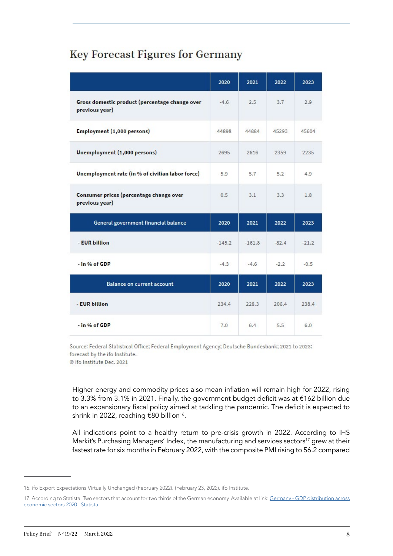#### **Key Forecast Figures for Germany**

|                                                                  | 2020     | 2021     | 2022    | 2023    |
|------------------------------------------------------------------|----------|----------|---------|---------|
| Gross domestic product (percentage change over<br>previous year) | $-4.6$   | 2.5      | 3.7     | 2.9     |
| Employment (1,000 persons)                                       | 44898    | 44884    | 45293   | 45604   |
| Unemployment (1,000 persons)                                     | 2695     | 2616     | 2359    | 2235    |
| Unemployment rate (in % of civilian labor force)                 | 5.9      | 5.7      | 5.2     | 4.9     |
| Consumer prices (percentage change over<br>previous year)        | 0.5      | 3.1      | 3.3     | 1.8     |
| General government financial balance                             | 2020     | 2021     | 2022    | 2023    |
| - EUR billion                                                    | $-145.2$ | $-161.8$ | $-82.4$ | $-21.2$ |
| $-$ in % of GDP                                                  | $-4.3$   | $-4.6$   | $-2.2$  | $-0.5$  |
| <b>Balance on current account</b>                                | 2020     | 2021     | 2022    | 2023    |
| - EUR billion                                                    | 234.4    | 228.3    | 206.4   | 238.4   |
| $-$ in % of GDP                                                  | 7.0      | 6.4      | 5.5     | 6.0     |

Source: Federal Statistical Office; Federal Employment Agency; Deutsche Bundesbank; 2021 to 2023: forecast by the ifo Institute.

© ifo Institute Dec. 2021

Higher energy and commodity prices also mean inflation will remain high for 2022, rising to 3.3% from 3.1% in 2021. Finally, the government budget deficit was at €162 billion due to an expansionary fiscal policy aimed at tackling the pandemic. The deficit is expected to shrink in 2022, reaching €80 billion<sup>16</sup>.

All indications point to a healthy return to pre-crisis growth in 2022. According to IHS Markit's Purchasing Managers' Index, the manufacturing and services sectors<sup>17</sup> grew at their fastest rate for six months in February 2022, with the composite PMI rising to 56.2 compared

<sup>16.</sup> ifo Export Expectations Virtually Unchanged (February 2022). (February 23, 2022). ifo Institute.

<sup>17.</sup> According to Statista: Two sectors that account for two thirds of the German economy. Available at link: [Germany - GDP distribution across](https://www.statista.com/statistics/375569/germany-gdp-distribution-across-economic-sectors/) [economic sectors 2020 | Statista](https://www.statista.com/statistics/375569/germany-gdp-distribution-across-economic-sectors/)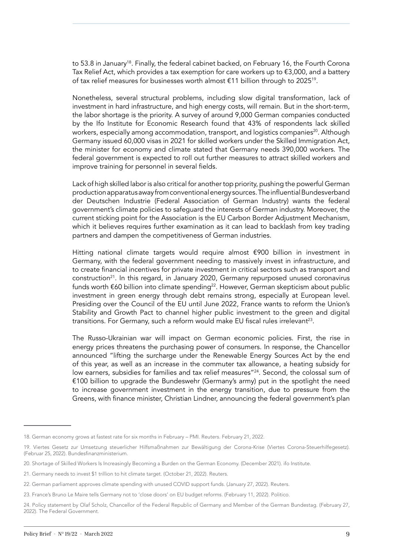to 53.8 in January<sup>18</sup>. Finally, the federal cabinet backed, on February 16, the Fourth Corona Tax Relief Act, which provides a tax exemption for care workers up to  $\epsilon$ 3,000, and a battery of tax relief measures for businesses worth almost €11 billion through to 2025<sup>19</sup>.

Nonetheless, several structural problems, including slow digital transformation, lack of investment in hard infrastructure, and high energy costs, will remain. But in the short-term, the labor shortage is the priority. A survey of around 9,000 German companies conducted by the Ifo Institute for Economic Research found that 43% of respondents lack skilled workers, especially among accommodation, transport, and logistics companies<sup>20</sup>. Although Germany issued 60,000 visas in 2021 for skilled workers under the Skilled Immigration Act, the minister for economy and climate stated that Germany needs 390,000 workers. The federal government is expected to roll out further measures to attract skilled workers and improve training for personnel in several fields.

Lack of high skilled labor is also critical for another top priority, pushing the powerful German production apparatus away from conventional energy sources. The influential Bundesverband der Deutschen Industrie (Federal Association of German Industry) wants the federal government's climate policies to safeguard the interests of German industry. Moreover, the current sticking point for the Association is the EU Carbon Border Adjustment Mechanism, which it believes requires further examination as it can lead to backlash from key trading partners and dampen the competitiveness of German industries.

Hitting national climate targets would require almost €900 billion in investment in Germany, with the federal government needing to massively invest in infrastructure, and to create financial incentives for private investment in critical sectors such as transport and construction<sup>21</sup>. In this regard, in January 2020, Germany repurposed unused coronavirus funds worth €60 billion into climate spending<sup>22</sup>. However, German skepticism about public investment in green energy through debt remains strong, especially at European level. Presiding over the Council of the EU until June 2022, France wants to reform the Union's Stability and Growth Pact to channel higher public investment to the green and digital transitions. For Germany, such a reform would make EU fiscal rules irrelevant<sup>23</sup>.

The Russo-Ukrainian war will impact on German economic policies. First, the rise in energy prices threatens the purchasing power of consumers. In response, the Chancellor announced "lifting the surcharge under the Renewable Energy Sources Act by the end of this year, as well as an increase in the commuter tax allowance, a heating subsidy for low earners, subsidies for families and tax relief measures"<sup>24</sup>. Second, the colossal sum of  $€100$  billion to upgrade the Bundeswehr (Germany's army) put in the spotlight the need to increase government investment in the energy transition, due to pressure from the Greens, with finance minister, Christian Lindner, announcing the federal government's plan

<sup>18.</sup> German economy grows at fastest rate for six months in February – PMI. Reuters. February 21, 2022.

<sup>19.</sup> Viertes Gesetz zur Umsetzung steuerlicher Hilfsmaßnahmen zur Bewältigung der Corona-Krise (Viertes Corona-Steuerhilfegesetz). (Februar 25, 2022). Bundesfinanzministerium.

<sup>20.</sup> Shortage of Skilled Workers Is Increasingly Becoming a Burden on the German Economy. (December 2021). ifo Institute.

<sup>21.</sup> Germany needs to invest \$1 trillion to hit climate target. (October 21, 2022). Reuters.

<sup>22.</sup> German parliament approves climate spending with unused COVID support funds. (January 27, 2022). Reuters.

<sup>23.</sup> France's Bruno Le Maire tells Germany not to 'close doors' on EU budget reforms. (February 11, 2022). Politico.

<sup>24.</sup> Policy statement by Olaf Scholz, Chancellor of the Federal Republic of Germany and Member of the German Bundestag. (February 27, 2022). The Federal Government.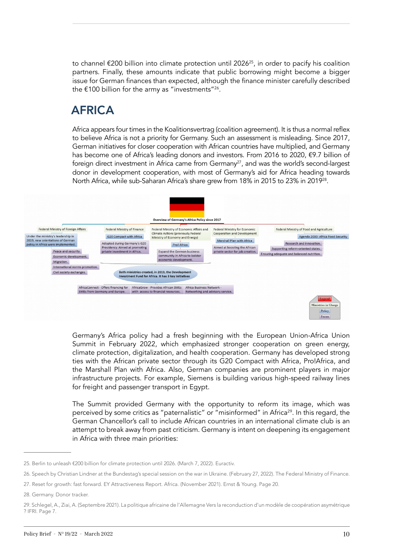to channel  $\epsilon$ 200 billion into climate protection until 2026<sup>25</sup>, in order to pacify his coalition partners. Finally, these amounts indicate that public borrowing might become a bigger issue for German finances than expected, although the finance minister carefully described the  $\text{\textsterling}100$  billion for the army as "investments"<sup>26</sup>.

## AFRICA

Africa appears four times in the Koalitionsvertrag (coalition agreement). It is thus a normal reflex to believe Africa is not a priority for Germany. Such an assessment is misleading. Since 2017, German initiatives for closer cooperation with African countries have multiplied, and Germany has become one of Africa's leading donors and investors. From 2016 to 2020, €9.7 billion of foreign direct investment in Africa came from Germany<sup>27</sup>, and was the world's second-largest donor in development cooperation, with most of Germany's aid for Africa heading towards North Africa, while sub-Saharan Africa's share grew from 18% in 2015 to 23% in 2019<sup>28</sup>.



Germany's Africa policy had a fresh beginning with the European Union-Africa Union Summit in February 2022, which emphasized stronger cooperation on green energy, climate protection, digitalization, and health cooperation. Germany has developed strong ties with the African private sector through its G20 Compact with Africa, Pro!Africa, and the Marshall Plan with Africa. Also, German companies are prominent players in major infrastructure projects. For example, Siemens is building various high-speed railway lines for freight and passenger transport in Egypt.

The Summit provided Germany with the opportunity to reform its image, which was perceived by some critics as "paternalistic" or "misinformed" in Africa<sup>29</sup>. In this regard, the German Chancellor's call to include African countries in an international climate club is an attempt to break away from past criticism. Germany is intent on deepening its engagement in Africa with three main priorities:

<sup>25.</sup> Berlin to unleash €200 billion for climate protection until 2026. (March 7, 2022). Euractiv.

<sup>26.</sup> Speech by Christian Lindner at the Bundestag's special session on the war in Ukraine. (February 27, 2022). The Federal Ministry of Finance.

<sup>27.</sup> Reset for growth: fast forward. EY Attractiveness Report. Africa. (November 2021). Ernst & Young. Page 20.

<sup>28.</sup> Germany. Donor tracker.

<sup>29.</sup> Schlegel, A., Ziai, A. (Septembre 2021). La politique africaine de l'Allemagne Vers la reconduction d'un modèle de coopération asymétrique ? IFRI. Page 7.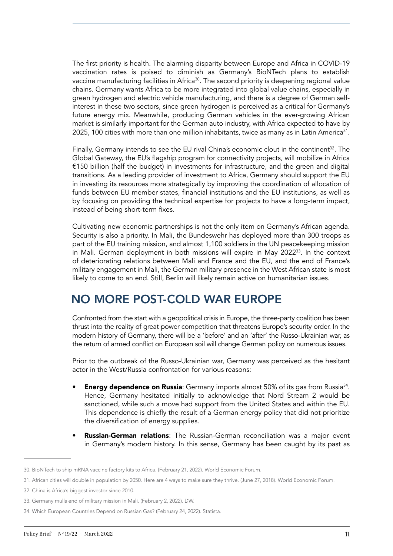The first priority is health. The alarming disparity between Europe and Africa in COVID-19 vaccination rates is poised to diminish as Germany's BioNTech plans to establish vaccine manufacturing facilities in Africa<sup>30</sup>. The second priority is deepening regional value chains. Germany wants Africa to be more integrated into global value chains, especially in green hydrogen and electric vehicle manufacturing, and there is a degree of German selfinterest in these two sectors, since green hydrogen is perceived as a critical for Germany's future energy mix. Meanwhile, producing German vehicles in the ever-growing African market is similarly important for the German auto industry, with Africa expected to have by 2025, 100 cities with more than one million inhabitants, twice as many as in Latin America<sup>31</sup>.

Finally, Germany intends to see the EU rival China's economic clout in the continent<sup>32</sup>. The Global Gateway, the EU's flagship program for connectivity projects, will mobilize in Africa €150 billion (half the budget) in investments for infrastructure, and the green and digital transitions. As a leading provider of investment to Africa, Germany should support the EU in investing its resources more strategically by improving the coordination of allocation of funds between EU member states, financial institutions and the EU institutions, as well as by focusing on providing the technical expertise for projects to have a long-term impact, instead of being short-term fixes.

Cultivating new economic partnerships is not the only item on Germany's African agenda. Security is also a priority. In Mali, the Bundeswehr has deployed more than 300 troops as part of the EU training mission, and almost 1,100 soldiers in the UN peacekeeping mission in Mali. German deployment in both missions will expire in May 2022<sup>33</sup>. In the context of deteriorating relations between Mali and France and the EU, and the end of France's military engagement in Mali, the German military presence in the West African state is most likely to come to an end. Still, Berlin will likely remain active on humanitarian issues.

#### NO MORE POST-COLD WAR EUROPE

Confronted from the start with a geopolitical crisis in Europe, the three-party coalition has been thrust into the reality of great power competition that threatens Europe's security order. In the modern history of Germany, there will be a 'before' and an 'after' the Russo-Ukrainian war, as the return of armed conflict on European soil will change German policy on numerous issues.

Prior to the outbreak of the Russo-Ukrainian war, Germany was perceived as the hesitant actor in the West/Russia confrontation for various reasons:

- **Energy dependence on Russia:** Germany imports almost 50% of its gas from Russia<sup>34</sup>. Hence, Germany hesitated initially to acknowledge that Nord Stream 2 would be sanctioned, while such a move had support from the United States and within the EU. This dependence is chiefly the result of a German energy policy that did not prioritize the diversification of energy supplies.
- **Russian-German relations:** The Russian-German reconciliation was a major event in Germany's modern history. In this sense, Germany has been caught by its past as

<sup>30.</sup> BioNTech to ship mRNA vaccine factory kits to Africa. (February 21, 2022). World Economic Forum.

<sup>31.</sup> African cities will double in population by 2050. Here are 4 ways to make sure they thrive. (June 27, 2018). World Economic Forum.

<sup>32.</sup> China is Africa's biggest investor since 2010.

<sup>33.</sup> Germany mulls end of military mission in Mali. (February 2, 2022). DW.

<sup>34.</sup> Which European Countries Depend on Russian Gas? (February 24, 2022). Statista.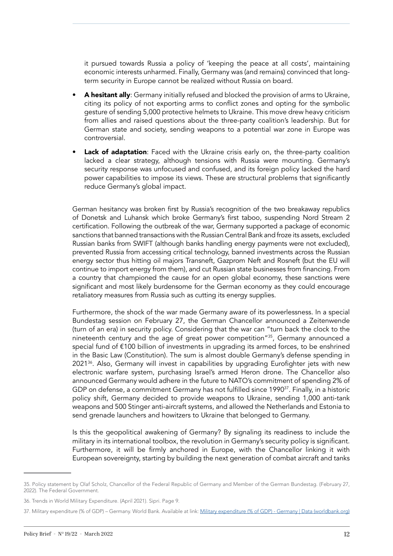it pursued towards Russia a policy of 'keeping the peace at all costs', maintaining economic interests unharmed. Finally, Germany was (and remains) convinced that longterm security in Europe cannot be realized without Russia on board.

- A hesitant ally: Germany initially refused and blocked the provision of arms to Ukraine, citing its policy of not exporting arms to conflict zones and opting for the symbolic gesture of sending 5,000 protective helmets to Ukraine. This move drew heavy criticism from allies and raised questions about the three-party coalition's leadership. But for German state and society, sending weapons to a potential war zone in Europe was controversial.
- Lack of adaptation: Faced with the Ukraine crisis early on, the three-party coalition lacked a clear strategy, although tensions with Russia were mounting. Germany's security response was unfocused and confused, and its foreign policy lacked the hard power capabilities to impose its views. These are structural problems that significantly reduce Germany's global impact.

German hesitancy was broken first by Russia's recognition of the two breakaway republics of Donetsk and Luhansk which broke Germany's first taboo, suspending Nord Stream 2 certification. Following the outbreak of the war, Germany supported a package of economic sanctions that banned transactions with the Russian Central Bank and froze its assets, excluded Russian banks from SWIFT (although banks handling energy payments were not excluded), prevented Russia from accessing critical technology, banned investments across the Russian energy sector thus hitting oil majors Transneft, Gazprom Neft and Rosneft (but the EU will continue to import energy from them), and cut Russian state businesses from financing. From a country that championed the cause for an open global economy, these sanctions were significant and most likely burdensome for the German economy as they could encourage retaliatory measures from Russia such as cutting its energy supplies.

Furthermore, the shock of the war made Germany aware of its powerlessness. In a special Bundestag session on February 27, the German Chancellor announced a Zeitenwende (turn of an era) in security policy. Considering that the war can "turn back the clock to the nineteenth century and the age of great power competition"35, Germany announced a special fund of €100 billion of investments in upgrading its armed forces, to be enshrined in the Basic Law (Constitution). The sum is almost double Germany's defense spending in 2021<sup>36</sup>. Also, Germany will invest in capabilities by upgrading Eurofighter jets with new electronic warfare system, purchasing Israel's armed Heron drone. The Chancellor also announced Germany would adhere in the future to NATO's commitment of spending 2% of GDP on defense, a commitment Germany has not fulfilled since 1990<sup>37</sup>. Finally, in a historic policy shift, Germany decided to provide weapons to Ukraine, sending 1,000 anti-tank weapons and 500 Stinger anti-aircraft systems, and allowed the Netherlands and Estonia to send grenade launchers and howitzers to Ukraine that belonged to Germany.

Is this the geopolitical awakening of Germany? By signaling its readiness to include the military in its international toolbox, the revolution in Germany's security policy is significant. Furthermore, it will be firmly anchored in Europe, with the Chancellor linking it with European sovereignty, starting by building the next generation of combat aircraft and tanks

<sup>35.</sup> Policy statement by Olaf Scholz, Chancellor of the Federal Republic of Germany and Member of the German Bundestag. (February 27, 2022). The Federal Government.

<sup>36.</sup> Trends in World Military Expenditure. (April 2021). Sipri. Page 9.

<sup>37.</sup> Military expenditure (% of GDP) – Germany. World Bank. Available at link: [Military expenditure \(% of GDP\) - Germany | Data \(worldbank.org\)](https://data.worldbank.org/indicator/MS.MIL.XPND.GD.ZS?locations=DE)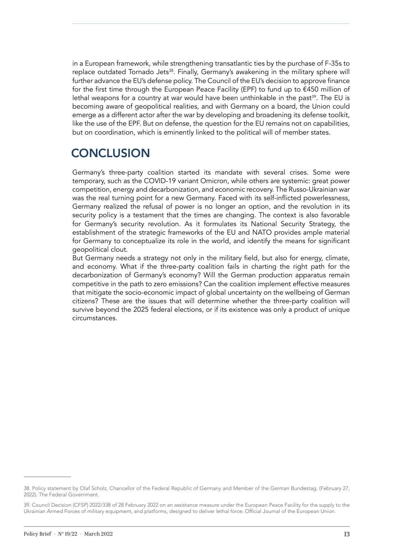in a European framework, while strengthening transatlantic ties by the purchase of F-35s to replace outdated Tornado Jets<sup>38</sup>. Finally, Germany's awakening in the military sphere will further advance the EU's defense policy. The Council of the EU's decision to approve finance for the first time through the European Peace Facility (EPF) to fund up to €450 million of lethal weapons for a country at war would have been unthinkable in the past<sup>39</sup>. The EU is becoming aware of geopolitical realities, and with Germany on a board, the Union could emerge as a different actor after the war by developing and broadening its defense toolkit, like the use of the EPF. But on defense, the question for the EU remains not on capabilities, but on coordination, which is eminently linked to the political will of member states.

## **CONCLUSION**

Germany's three-party coalition started its mandate with several crises. Some were temporary, such as the COVID-19 variant Omicron, while others are systemic: great power competition, energy and decarbonization, and economic recovery. The Russo-Ukrainian war was the real turning point for a new Germany. Faced with its self-inflicted powerlessness, Germany realized the refusal of power is no longer an option, and the revolution in its security policy is a testament that the times are changing. The context is also favorable for Germany's security revolution. As it formulates its National Security Strategy, the establishment of the strategic frameworks of the EU and NATO provides ample material for Germany to conceptualize its role in the world, and identify the means for significant geopolitical clout.

But Germany needs a strategy not only in the military field, but also for energy, climate, and economy. What if the three-party coalition fails in charting the right path for the decarbonization of Germany's economy? Will the German production apparatus remain competitive in the path to zero emissions? Can the coalition implement effective measures that mitigate the socio-economic impact of global uncertainty on the wellbeing of German citizens? These are the issues that will determine whether the three-party coalition will survive beyond the 2025 federal elections, or if its existence was only a product of unique circumstances.

<sup>38.</sup> Policy statement by Olaf Scholz, Chancellor of the Federal Republic of Germany and Member of the German Bundestag. (February 27, 2022). The Federal Government.

<sup>39.</sup> Council Decision (CFSP) 2022/338 of 28 February 2022 on an assistance measure under the European Peace Facility for the supply to the Ukrainian Armed Forces of military equipment, and platforms, designed to deliver lethal force. Official Journal of the European Union.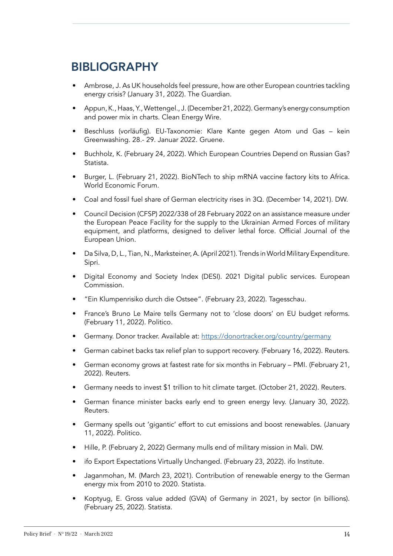## BIBLIOGRAPHY

- Ambrose, J. As UK households feel pressure, how are other European countries tackling energy crisis? (January 31, 2022). The Guardian.
- Appun, K., Haas, Y., Wettengel., J. (December 21, 2022). Germany's energy consumption and power mix in charts. Clean Energy Wire.
- Beschluss (vorläufig). EU-Taxonomie: Klare Kante gegen Atom und Gas kein Greenwashing. 28.- 29. Januar 2022. Gruene.
- Buchholz, K. (February 24, 2022). Which European Countries Depend on Russian Gas? Statista.
- Burger, L. (February 21, 2022). BioNTech to ship mRNA vaccine factory kits to Africa. World Economic Forum.
- Coal and fossil fuel share of German electricity rises in 3Q. (December 14, 2021). DW.
- Council Decision (CFSP) 2022/338 of 28 February 2022 on an assistance measure under the European Peace Facility for the supply to the Ukrainian Armed Forces of military equipment, and platforms, designed to deliver lethal force. Official Journal of the European Union.
- Da Silva, D, L., Tian, N., Marksteiner, A. (April 2021). Trends in World Military Expenditure. Sipri.
- Digital Economy and Society Index (DESI). 2021 Digital public services. European Commission.
- "Ein Klumpenrisiko durch die Ostsee". (February 23, 2022). Tagesschau.
- France's Bruno Le Maire tells Germany not to 'close doors' on EU budget reforms. (February 11, 2022). Politico.
- Germany. Donor tracker. Available at:<https://donortracker.org/country/germany>
- German cabinet backs tax relief plan to support recovery. (February 16, 2022). Reuters.
- German economy grows at fastest rate for six months in February PMI. (February 21, 2022). Reuters.
- Germany needs to invest \$1 trillion to hit climate target. (October 21, 2022). Reuters.
- German finance minister backs early end to green energy levy. (January 30, 2022). Reuters.
- Germany spells out 'gigantic' effort to cut emissions and boost renewables. (January 11, 2022). Politico.
- Hille, P. (February 2, 2022) Germany mulls end of military mission in Mali. DW.
- ifo Export Expectations Virtually Unchanged. (February 23, 2022). ifo Institute.
- Jaganmohan, M. (March 23, 2021). Contribution of renewable energy to the German energy mix from 2010 to 2020. Statista.
- Koptyug, E. Gross value added (GVA) of Germany in 2021, by sector (in billions). (February 25, 2022). Statista.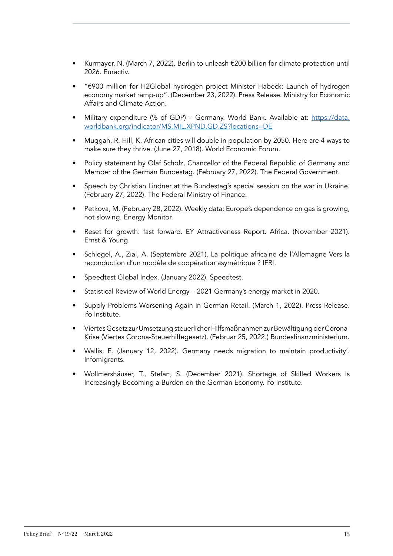- Kurmayer, N. (March 7, 2022). Berlin to unleash €200 billion for climate protection until 2026. Euractiv.
- "€900 million for H2Global hydrogen project Minister Habeck: Launch of hydrogen economy market ramp-up". (December 23, 2022). Press Release. Ministry for Economic Affairs and Climate Action.
- Military expenditure (% of GDP) Germany. World Bank. Available at: [https://data.](https://data.worldbank.org/indicator/MS.MIL.XPND.GD.ZS?locations=DE) [worldbank.org/indicator/MS.MIL.XPND.GD.ZS?locations=DE](https://data.worldbank.org/indicator/MS.MIL.XPND.GD.ZS?locations=DE)
- Muggah, R. Hill, K. African cities will double in population by 2050. Here are 4 ways to make sure they thrive. (June 27, 2018). World Economic Forum.
- Policy statement by Olaf Scholz, Chancellor of the Federal Republic of Germany and Member of the German Bundestag. (February 27, 2022). The Federal Government.
- Speech by Christian Lindner at the Bundestag's special session on the war in Ukraine. (February 27, 2022). The Federal Ministry of Finance.
- Petkova, M. (February 28, 2022). Weekly data: Europe's dependence on gas is growing, not slowing. Energy Monitor.
- Reset for growth: fast forward. EY Attractiveness Report. Africa. (November 2021). Ernst & Young.
- Schlegel, A., Ziai, A. (Septembre 2021). La politique africaine de l'Allemagne Vers la reconduction d'un modèle de coopération asymétrique ? IFRI.
- Speedtest Global Index. (January 2022). Speedtest.
- Statistical Review of World Energy 2021 Germany's energy market in 2020.
- Supply Problems Worsening Again in German Retail. (March 1, 2022). Press Release. ifo Institute.
- Viertes Gesetz zur Umsetzung steuerlicher Hilfsmaßnahmen zur Bewältigung der Corona-Krise (Viertes Corona-Steuerhilfegesetz). (Februar 25, 2022.) Bundesfinanzministerium.
- Wallis, E. (January 12, 2022). Germany needs migration to maintain productivity'. Infomigrants.
- Wollmershäuser, T., Stefan, S. (December 2021). Shortage of Skilled Workers Is Increasingly Becoming a Burden on the German Economy. ifo Institute.